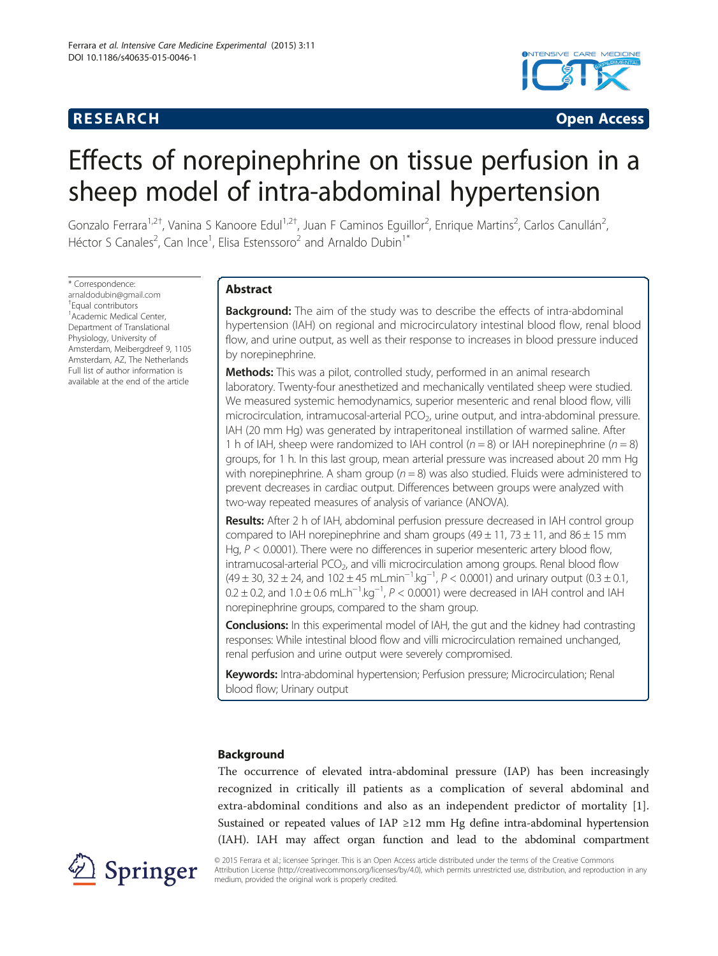



# Effects of norepinephrine on tissue perfusion in a sheep model of intra-abdominal hypertension

Gonzalo Ferrara<sup>1,2†</sup>, Vanina S Kanoore Edul<sup>1,2†</sup>, Juan F Caminos Eguillor<sup>2</sup>, Enrique Martins<sup>2</sup>, Carlos Canullán<sup>2</sup> , Héctor S Canales<sup>2</sup>, Can Ince<sup>1</sup>, Elisa Estenssoro<sup>2</sup> and Arnaldo Dubin<sup>1\*</sup>

\* Correspondence: [arnaldodubin@gmail.com](mailto:arnaldodubin@gmail.com) † Equal contributors 1 Academic Medical Center, Department of Translational Physiology, University of Amsterdam, Meibergdreef 9, 1105 Amsterdam, AZ, The Netherlands Full list of author information is available at the end of the article

# Abstract

**Background:** The aim of the study was to describe the effects of intra-abdominal hypertension (IAH) on regional and microcirculatory intestinal blood flow, renal blood flow, and urine output, as well as their response to increases in blood pressure induced by norepinephrine.

Methods: This was a pilot, controlled study, performed in an animal research laboratory. Twenty-four anesthetized and mechanically ventilated sheep were studied. We measured systemic hemodynamics, superior mesenteric and renal blood flow, villi microcirculation, intramucosal-arterial  $PCO<sub>2</sub>$ , urine output, and intra-abdominal pressure. IAH (20 mm Hg) was generated by intraperitoneal instillation of warmed saline. After 1 h of IAH, sheep were randomized to IAH control ( $n = 8$ ) or IAH norepinephrine ( $n = 8$ ) groups, for 1 h. In this last group, mean arterial pressure was increased about 20 mm Hg with norepinephrine. A sham group ( $n = 8$ ) was also studied. Fluids were administered to prevent decreases in cardiac output. Differences between groups were analyzed with two-way repeated measures of analysis of variance (ANOVA).

Results: After 2 h of IAH, abdominal perfusion pressure decreased in IAH control group compared to IAH norepinephrine and sham groups  $(49 \pm 11, 73 \pm 11,$  and  $86 \pm 15$  mm Hg,  $P < 0.0001$ ). There were no differences in superior mesenteric artery blood flow,  $intramucosal-arterial PCO<sub>2</sub>$ , and villi microcirculation among groups. Renal blood flow  $(49 \pm 30, 32 \pm 24,$  and  $102 \pm 45 \text{ mL} \cdot \text{min}^{-1} \cdot \text{kg}^{-1}$ ,  $P < 0.0001$ ) and urinary output  $(0.3 \pm 0.1, 0.0001)$  $0.2 \pm 0.2$ , and  $1.0 \pm 0.6$  mL.h<sup>-1</sup>.kg<sup>-1</sup>,  $P < 0.0001$ ) were decreased in IAH control and IAH norepinephrine groups, compared to the sham group.

**Conclusions:** In this experimental model of IAH, the gut and the kidney had contrasting responses: While intestinal blood flow and villi microcirculation remained unchanged, renal perfusion and urine output were severely compromised.

Keywords: Intra-abdominal hypertension; Perfusion pressure; Microcirculation; Renal blood flow; Urinary output

# Background

The occurrence of elevated intra-abdominal pressure (IAP) has been increasingly recognized in critically ill patients as a complication of several abdominal and extra-abdominal conditions and also as an independent predictor of mortality [\[1](#page-11-0)]. Sustained or repeated values of IAP  $\geq$  12 mm Hg define intra-abdominal hypertension (IAH). IAH may affect organ function and lead to the abdominal compartment



© 2015 Ferrara et al.; licensee Springer. This is an Open Access article distributed under the terms of the Creative Commons Attribution License [\(http://creativecommons.org/licenses/by/4.0\)](http://creativecommons.org/licenses/by/4.0), which permits unrestricted use, distribution, and reproduction in any medium, provided the original work is properly credited.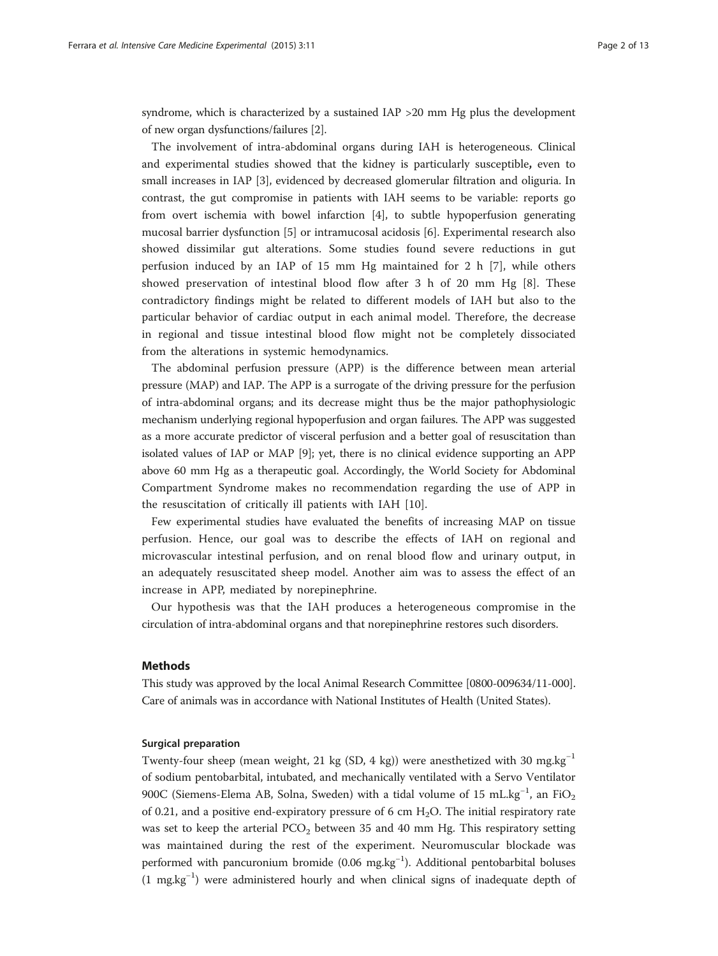syndrome, which is characterized by a sustained IAP >20 mm Hg plus the development of new organ dysfunctions/failures [\[2\]](#page-11-0).

The involvement of intra-abdominal organs during IAH is heterogeneous. Clinical and experimental studies showed that the kidney is particularly susceptible, even to small increases in IAP [\[3](#page-11-0)], evidenced by decreased glomerular filtration and oliguria. In contrast, the gut compromise in patients with IAH seems to be variable: reports go from overt ischemia with bowel infarction [[4](#page-11-0)], to subtle hypoperfusion generating mucosal barrier dysfunction [\[5](#page-11-0)] or intramucosal acidosis [[6\]](#page-11-0). Experimental research also showed dissimilar gut alterations. Some studies found severe reductions in gut perfusion induced by an IAP of 15 mm Hg maintained for 2 h [\[7](#page-11-0)], while others showed preservation of intestinal blood flow after 3 h of 20 mm Hg [[8](#page-11-0)]. These contradictory findings might be related to different models of IAH but also to the particular behavior of cardiac output in each animal model. Therefore, the decrease in regional and tissue intestinal blood flow might not be completely dissociated from the alterations in systemic hemodynamics.

The abdominal perfusion pressure (APP) is the difference between mean arterial pressure (MAP) and IAP. The APP is a surrogate of the driving pressure for the perfusion of intra-abdominal organs; and its decrease might thus be the major pathophysiologic mechanism underlying regional hypoperfusion and organ failures. The APP was suggested as a more accurate predictor of visceral perfusion and a better goal of resuscitation than isolated values of IAP or MAP [[9\]](#page-11-0); yet, there is no clinical evidence supporting an APP above 60 mm Hg as a therapeutic goal. Accordingly, the World Society for Abdominal Compartment Syndrome makes no recommendation regarding the use of APP in the resuscitation of critically ill patients with IAH [\[10](#page-11-0)].

Few experimental studies have evaluated the benefits of increasing MAP on tissue perfusion. Hence, our goal was to describe the effects of IAH on regional and microvascular intestinal perfusion, and on renal blood flow and urinary output, in an adequately resuscitated sheep model. Another aim was to assess the effect of an increase in APP, mediated by norepinephrine.

Our hypothesis was that the IAH produces a heterogeneous compromise in the circulation of intra-abdominal organs and that norepinephrine restores such disorders.

## Methods

This study was approved by the local Animal Research Committee [0800-009634/11-000]. Care of animals was in accordance with National Institutes of Health (United States).

# Surgical preparation

Twenty-four sheep (mean weight, 21 kg (SD, 4 kg)) were anesthetized with 30 mg.kg<sup>-1</sup> of sodium pentobarbital, intubated, and mechanically ventilated with a Servo Ventilator 900C (Siemens-Elema AB, Solna, Sweden) with a tidal volume of 15 mL.kg<sup>-1</sup>, an FiO<sub>2</sub> of 0.21, and a positive end-expiratory pressure of 6 cm  $H_2O$ . The initial respiratory rate was set to keep the arterial  $PCO<sub>2</sub>$  between 35 and 40 mm Hg. This respiratory setting was maintained during the rest of the experiment. Neuromuscular blockade was performed with pancuronium bromide (0.06 mg.kg<sup>-1</sup>). Additional pentobarbital boluses (1 mg.kg−<sup>1</sup> ) were administered hourly and when clinical signs of inadequate depth of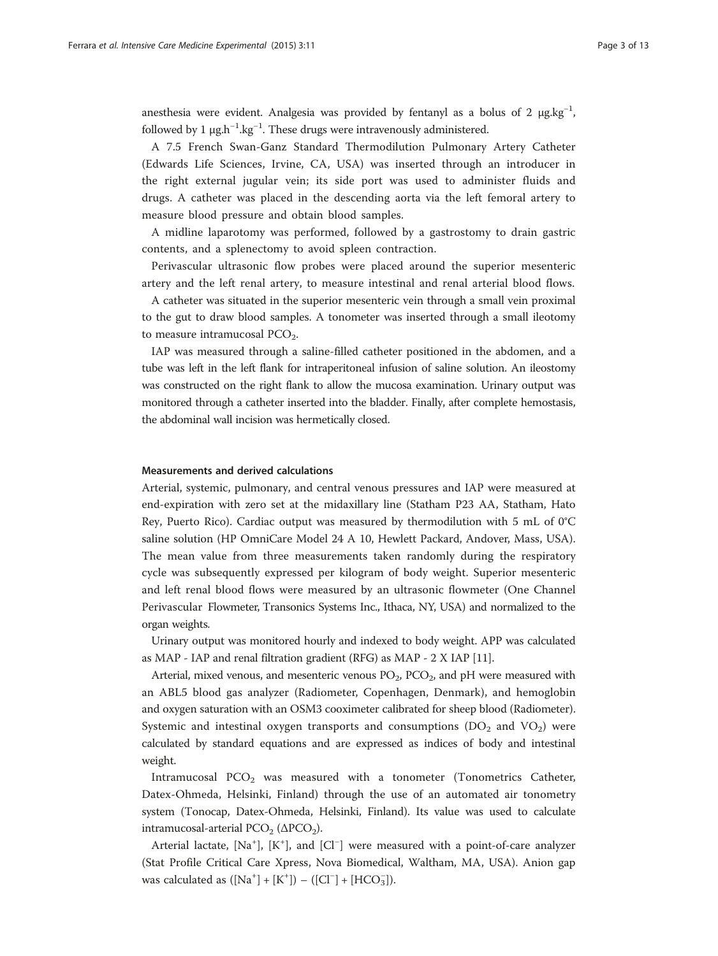anesthesia were evident. Analgesia was provided by fentanyl as a bolus of 2  $\mu$ g.kg<sup>-1</sup>, followed by 1  $\mu$ g.h<sup>-1</sup>.kg<sup>-1</sup>. These drugs were intravenously administered.

A 7.5 French Swan-Ganz Standard Thermodilution Pulmonary Artery Catheter (Edwards Life Sciences, Irvine, CA, USA) was inserted through an introducer in the right external jugular vein; its side port was used to administer fluids and drugs. A catheter was placed in the descending aorta via the left femoral artery to measure blood pressure and obtain blood samples.

A midline laparotomy was performed, followed by a gastrostomy to drain gastric contents, and a splenectomy to avoid spleen contraction.

Perivascular ultrasonic flow probes were placed around the superior mesenteric artery and the left renal artery, to measure intestinal and renal arterial blood flows.

A catheter was situated in the superior mesenteric vein through a small vein proximal to the gut to draw blood samples. A tonometer was inserted through a small ileotomy to measure intramucosal  $PCO<sub>2</sub>$ .

IAP was measured through a saline-filled catheter positioned in the abdomen, and a tube was left in the left flank for intraperitoneal infusion of saline solution. An ileostomy was constructed on the right flank to allow the mucosa examination. Urinary output was monitored through a catheter inserted into the bladder. Finally, after complete hemostasis, the abdominal wall incision was hermetically closed.

#### Measurements and derived calculations

Arterial, systemic, pulmonary, and central venous pressures and IAP were measured at end-expiration with zero set at the midaxillary line (Statham P23 AA, Statham, Hato Rey, Puerto Rico). Cardiac output was measured by thermodilution with 5 mL of 0°C saline solution (HP OmniCare Model 24 A 10, Hewlett Packard, Andover, Mass, USA). The mean value from three measurements taken randomly during the respiratory cycle was subsequently expressed per kilogram of body weight. Superior mesenteric and left renal blood flows were measured by an ultrasonic flowmeter (One Channel Perivascular Flowmeter, Transonics Systems Inc., Ithaca, NY, USA) and normalized to the organ weights.

Urinary output was monitored hourly and indexed to body weight. APP was calculated as MAP - IAP and renal filtration gradient (RFG) as MAP - 2 X IAP [\[11\]](#page-11-0).

Arterial, mixed venous, and mesenteric venous  $PO_2$ ,  $PCO_2$ , and pH were measured with an ABL5 blood gas analyzer (Radiometer, Copenhagen, Denmark), and hemoglobin and oxygen saturation with an OSM3 cooximeter calibrated for sheep blood (Radiometer). Systemic and intestinal oxygen transports and consumptions  $(DO_2$  and  $VO_2)$  were calculated by standard equations and are expressed as indices of body and intestinal weight.

Intramucosal  $PCO<sub>2</sub>$  was measured with a tonometer (Tonometrics Catheter, Datex-Ohmeda, Helsinki, Finland) through the use of an automated air tonometry system (Tonocap, Datex-Ohmeda, Helsinki, Finland). Its value was used to calculate intramucosal-arterial PCO<sub>2</sub> ( $\triangle PCO<sub>2</sub>$ ).

Arterial lactate, [Na<sup>+</sup>], [K<sup>+</sup>], and [Cl<sup>−</sup>] were measured with a point-of-care analyzer (Stat Profile Critical Care Xpress, Nova Biomedical, Waltham, MA, USA). Anion gap was calculated as  $([Na^+] + [K^+]) - ([Cl^-] + [HCO_3^-])$ .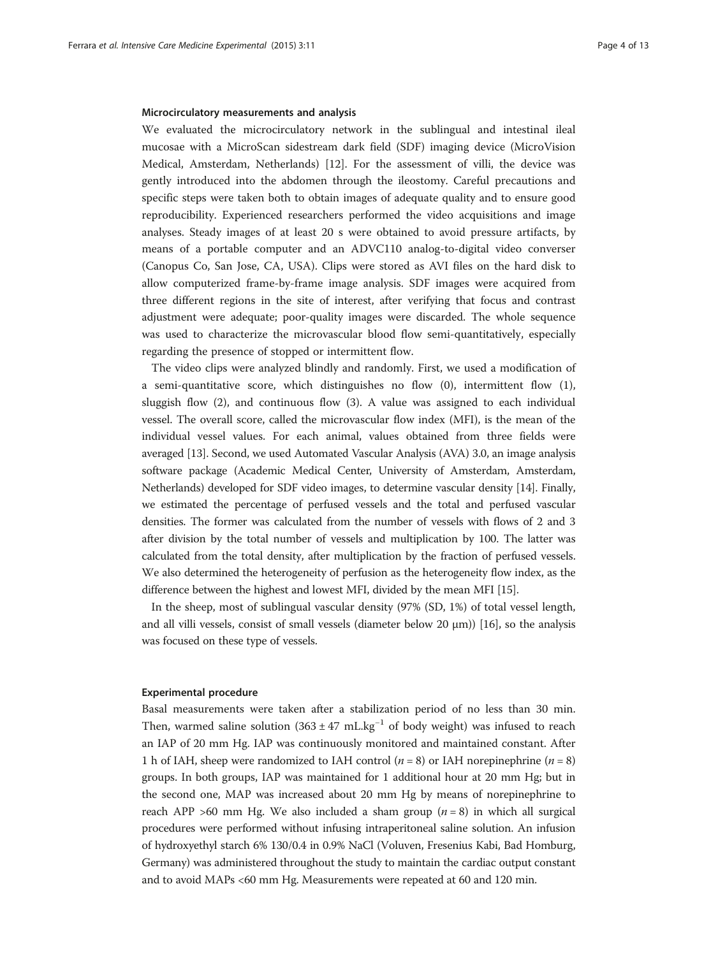#### Microcirculatory measurements and analysis

We evaluated the microcirculatory network in the sublingual and intestinal ileal mucosae with a MicroScan sidestream dark field (SDF) imaging device (MicroVision Medical, Amsterdam, Netherlands) [\[12\]](#page-11-0). For the assessment of villi, the device was gently introduced into the abdomen through the ileostomy. Careful precautions and specific steps were taken both to obtain images of adequate quality and to ensure good reproducibility. Experienced researchers performed the video acquisitions and image analyses. Steady images of at least 20 s were obtained to avoid pressure artifacts, by means of a portable computer and an ADVC110 analog-to-digital video converser (Canopus Co, San Jose, CA, USA). Clips were stored as AVI files on the hard disk to allow computerized frame-by-frame image analysis. SDF images were acquired from three different regions in the site of interest, after verifying that focus and contrast adjustment were adequate; poor-quality images were discarded. The whole sequence was used to characterize the microvascular blood flow semi-quantitatively, especially regarding the presence of stopped or intermittent flow.

The video clips were analyzed blindly and randomly. First, we used a modification of a semi-quantitative score, which distinguishes no flow (0), intermittent flow (1), sluggish flow (2), and continuous flow (3). A value was assigned to each individual vessel. The overall score, called the microvascular flow index (MFI), is the mean of the individual vessel values. For each animal, values obtained from three fields were averaged [\[13\]](#page-11-0). Second, we used Automated Vascular Analysis (AVA) 3.0, an image analysis software package (Academic Medical Center, University of Amsterdam, Amsterdam, Netherlands) developed for SDF video images, to determine vascular density [\[14](#page-11-0)]. Finally, we estimated the percentage of perfused vessels and the total and perfused vascular densities. The former was calculated from the number of vessels with flows of 2 and 3 after division by the total number of vessels and multiplication by 100. The latter was calculated from the total density, after multiplication by the fraction of perfused vessels. We also determined the heterogeneity of perfusion as the heterogeneity flow index, as the difference between the highest and lowest MFI, divided by the mean MFI [[15](#page-11-0)].

In the sheep, most of sublingual vascular density (97% (SD, 1%) of total vessel length, and all villi vessels, consist of small vessels (diameter below 20  $\mu$ m)) [\[16\]](#page-11-0), so the analysis was focused on these type of vessels.

#### Experimental procedure

Basal measurements were taken after a stabilization period of no less than 30 min. Then, warmed saline solution  $(363 \pm 47 \text{ mL} \cdot \text{kg}^{-1})$  of body weight) was infused to reach an IAP of 20 mm Hg. IAP was continuously monitored and maintained constant. After 1 h of IAH, sheep were randomized to IAH control  $(n = 8)$  or IAH norepinephrine  $(n = 8)$ groups. In both groups, IAP was maintained for 1 additional hour at 20 mm Hg; but in the second one, MAP was increased about 20 mm Hg by means of norepinephrine to reach APP >60 mm Hg. We also included a sham group  $(n = 8)$  in which all surgical procedures were performed without infusing intraperitoneal saline solution. An infusion of hydroxyethyl starch 6% 130/0.4 in 0.9% NaCl (Voluven, Fresenius Kabi, Bad Homburg, Germany) was administered throughout the study to maintain the cardiac output constant and to avoid MAPs <60 mm Hg. Measurements were repeated at 60 and 120 min.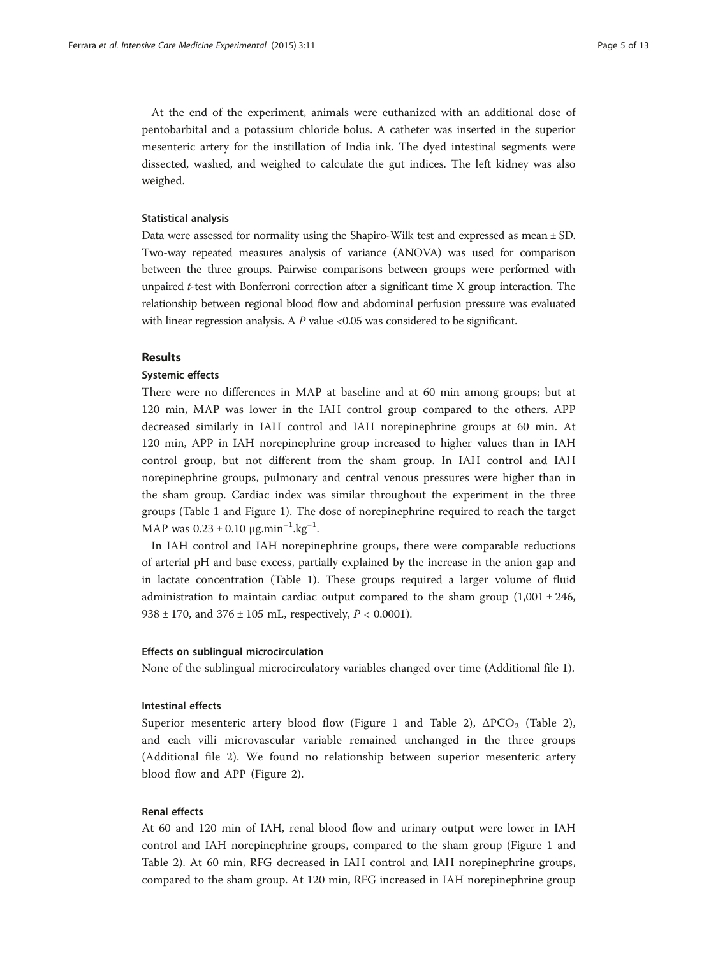At the end of the experiment, animals were euthanized with an additional dose of pentobarbital and a potassium chloride bolus. A catheter was inserted in the superior mesenteric artery for the instillation of India ink. The dyed intestinal segments were dissected, washed, and weighed to calculate the gut indices. The left kidney was also weighed.

#### Statistical analysis

Data were assessed for normality using the Shapiro-Wilk test and expressed as mean ± SD. Two-way repeated measures analysis of variance (ANOVA) was used for comparison between the three groups. Pairwise comparisons between groups were performed with unpaired  $t$ -test with Bonferroni correction after a significant time  $X$  group interaction. The relationship between regional blood flow and abdominal perfusion pressure was evaluated with linear regression analysis. A  $P$  value <0.05 was considered to be significant.

# Results

### Systemic effects

There were no differences in MAP at baseline and at 60 min among groups; but at 120 min, MAP was lower in the IAH control group compared to the others. APP decreased similarly in IAH control and IAH norepinephrine groups at 60 min. At 120 min, APP in IAH norepinephrine group increased to higher values than in IAH control group, but not different from the sham group. In IAH control and IAH norepinephrine groups, pulmonary and central venous pressures were higher than in the sham group. Cardiac index was similar throughout the experiment in the three groups (Table [1](#page-5-0) and Figure [1](#page-6-0)). The dose of norepinephrine required to reach the target MAP was  $0.23 \pm 0.10 \ \mu \text{g} \cdot \text{min}^{-1} \cdot \text{kg}^{-1}$ .

In IAH control and IAH norepinephrine groups, there were comparable reductions of arterial pH and base excess, partially explained by the increase in the anion gap and in lactate concentration (Table [1\)](#page-5-0). These groups required a larger volume of fluid administration to maintain cardiac output compared to the sham group  $(1,001 \pm 246,$ 938  $\pm$  170, and 376  $\pm$  105 mL, respectively,  $P < 0.0001$ ).

#### Effects on sublingual microcirculation

None of the sublingual microcirculatory variables changed over time (Additional file [1](#page-10-0)).

#### Intestinal effects

Superior mesenteric artery blood flow (Figure [1](#page-6-0) and Table [2](#page-7-0)),  $\triangle PCO_2$  (Table 2), and each villi microvascular variable remained unchanged in the three groups (Additional file [2](#page-10-0)). We found no relationship between superior mesenteric artery blood flow and APP (Figure [2\)](#page-8-0).

# Renal effects

At 60 and 120 min of IAH, renal blood flow and urinary output were lower in IAH control and IAH norepinephrine groups, compared to the sham group (Figure [1](#page-6-0) and Table [2](#page-7-0)). At 60 min, RFG decreased in IAH control and IAH norepinephrine groups, compared to the sham group. At 120 min, RFG increased in IAH norepinephrine group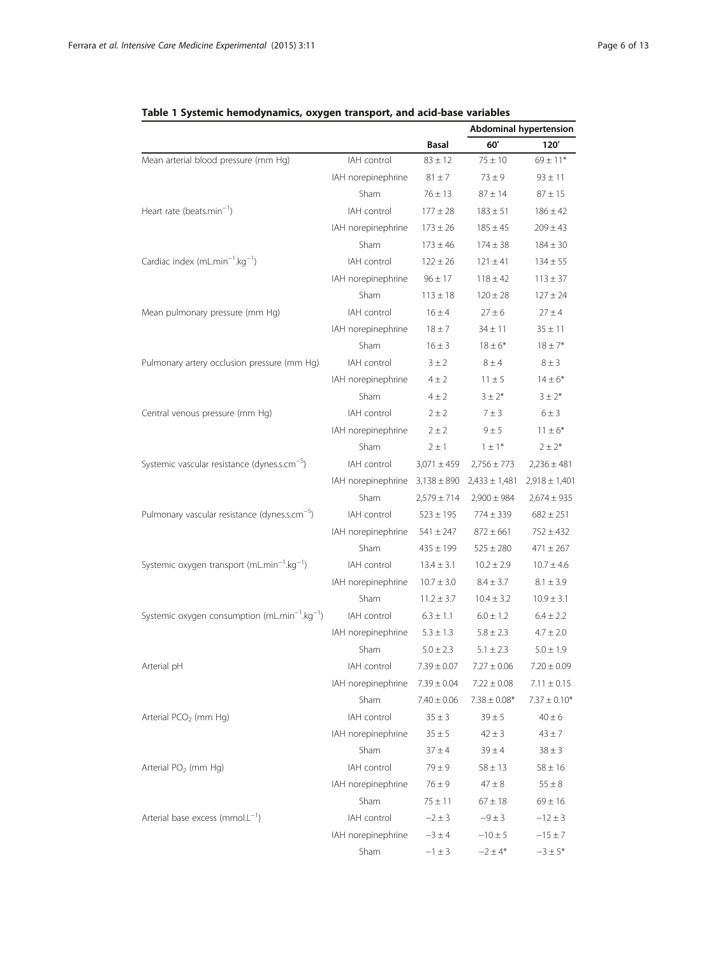|                                                                       |                                    |                 | <b>Abdominal hypertension</b> |                   |
|-----------------------------------------------------------------------|------------------------------------|-----------------|-------------------------------|-------------------|
|                                                                       |                                    | <b>Basal</b>    | 60'                           | 120'              |
| Mean arterial blood pressure (mm Hg)                                  | IAH control                        | $83 \pm 12$     | $75 \pm 10$                   | $69 \pm 11*$      |
|                                                                       | IAH norepinephrine                 | $81 \pm 7$      | $73 \pm 9$                    | $93 \pm 11$       |
|                                                                       | Sham                               | $76 \pm 13$     | $87 \pm 14$                   | $87 \pm 15$       |
| Heart rate (beats.min <sup>-1</sup> )                                 | IAH control                        | $177 \pm 28$    | $183 \pm 51$                  | $186 \pm 42$      |
|                                                                       | IAH norepinephrine                 | $173 \pm 26$    | $185 \pm 45$                  | $209 \pm 43$      |
|                                                                       | Sham                               | $173 \pm 46$    | $174 \pm 38$                  | $184 \pm 30$      |
| Cardiac index (mL.min <sup>-1</sup> .kg <sup>-1</sup> )               | IAH control                        | $122 \pm 26$    | $121 \pm 41$                  | $134 \pm 55$      |
|                                                                       | IAH norepinephrine                 | $96 \pm 17$     | $118 \pm 42$                  | $113 \pm 37$      |
|                                                                       | Sham                               | $113 \pm 18$    | $120 \pm 28$                  | $127 \pm 24$      |
| Mean pulmonary pressure (mm Hg)                                       | IAH control                        | $16 \pm 4$      | $27 \pm 6$                    | $27 \pm 4$        |
|                                                                       | IAH norepinephrine                 | $18 + 7$        | $34 \pm 11$                   | $35 \pm 11$       |
|                                                                       | Sham                               | $16 \pm 3$      | $18 \pm 6*$                   | $18 \pm 7*$       |
| Pulmonary artery occlusion pressure (mm Hg)                           | IAH control                        | $3 \pm 2$       | $8 \pm 4$                     | $8 \pm 3$         |
|                                                                       | IAH norepinephrine                 | $4 \pm 2$       | $11 \pm 5$                    | $14 \pm 6*$       |
|                                                                       | Sham                               | $4 \pm 2$       | $3 \pm 2*$                    | $3 \pm 2^*$       |
| Central venous pressure (mm Hg)                                       | IAH control                        | $2 \pm 2$       | $7 \pm 3$                     | $6 \pm 3$         |
|                                                                       | IAH norepinephrine                 | $2 \pm 2$       | $9 \pm 5$                     | $11 \pm 6*$       |
|                                                                       | Sham                               | $2 \pm 1$       | $1 \pm 1*$                    | $2 \pm 2^{*}$     |
| Systemic vascular resistance (dynes.s.cm <sup>-5</sup> )              | IAH control                        | $3,071 \pm 459$ | $2,756 \pm 773$               | $2,236 \pm 481$   |
|                                                                       | IAH norepinephrine $3,138 \pm 890$ |                 | $2,433 \pm 1,481$             | $2,918 \pm 1,401$ |
|                                                                       | Sham                               | $2,579 \pm 714$ | $2,900 \pm 984$               | $2,674 \pm 935$   |
| Pulmonary vascular resistance (dynes.s.cm <sup>-5</sup> )             | IAH control                        | $523 \pm 195$   | $774 \pm 339$                 | $682 \pm 251$     |
|                                                                       | IAH norepinephrine                 | $541 \pm 247$   | $872 \pm 661$                 | $752 \pm 432$     |
|                                                                       | <b>Sham</b>                        | $435 \pm 199$   | $525 \pm 280$                 | $471 \pm 267$     |
| Systemic oxygen transport (mL.min <sup>-1</sup> .kg <sup>-1</sup> )   | IAH control                        | $13.4 \pm 3.1$  | $10.2 \pm 2.9$                | $10.7 \pm 4.6$    |
|                                                                       | IAH norepinephrine                 | $10.7 \pm 3.0$  | $8.4 \pm 3.7$                 | $8.1 \pm 3.9$     |
|                                                                       | Sham                               | $11.2 \pm 3.7$  | $10.4 \pm 3.2$                | $10.9 \pm 3.1$    |
| Systemic oxygen consumption (mL.min <sup>-1</sup> .kg <sup>-1</sup> ) | IAH control                        | $6.3 \pm 1.1$   | $6.0 \pm 1.2$                 | $6.4 \pm 2.2$     |
|                                                                       | IAH norepinephrine                 | $5.3 \pm 1.3$   | $5.8 \pm 2.3$                 | $4.7 \pm 2.0$     |
|                                                                       | Sham                               | $5.0 \pm 2.3$   | $5.1 \pm 2.3$                 | $5.0 \pm 1.9$     |
| Arterial pH                                                           | IAH control                        | $7.39 \pm 0.07$ | $7.27 \pm 0.06$               | $7.20 \pm 0.09$   |
|                                                                       | IAH norepinephrine                 | $7.39 \pm 0.04$ | $7.22 \pm 0.08$               | $7.11 \pm 0.15$   |
|                                                                       | Sham                               | $7.40 \pm 0.06$ | $7.38 \pm 0.08*$              | $7.37 \pm 0.10*$  |
| Arterial PCO <sub>2</sub> (mm Hg)                                     | IAH control                        | $35 \pm 3$      | $39 \pm 5$                    | $40 \pm 6$        |
|                                                                       | IAH norepinephrine                 | $35 \pm 5$      | $42 \pm 3$                    | $43 \pm 7$        |
|                                                                       | Sham                               | $37 \pm 4$      | $39 \pm 4$                    | $38 \pm 3$        |
| Arterial PO <sub>2</sub> (mm Hg)                                      | IAH control                        | $79 \pm 9$      | $58 \pm 13$                   | $58 \pm 16$       |
|                                                                       | IAH norepinephrine                 | $76 \pm 9$      | $47 \pm 8$                    | $55 \pm 8$        |
|                                                                       | Sham                               | $75 \pm 11$     | $67 \pm 18$                   | $69 \pm 16$       |
| Arterial base excess ( $mmol.L^{-1}$ )                                | IAH control                        | $-2 \pm 3$      | $-9 \pm 3$                    | $-12 \pm 3$       |
|                                                                       | IAH norepinephrine                 | $-3 \pm 4$      | $-10 \pm 5$                   | $-15 \pm 7$       |
|                                                                       | Sham                               | $-1 \pm 3$      | $-2 \pm 4*$                   | $-3 \pm 5^*$      |

# <span id="page-5-0"></span>Table 1 Systemic hemodynamics, oxygen transport, and acid-base variables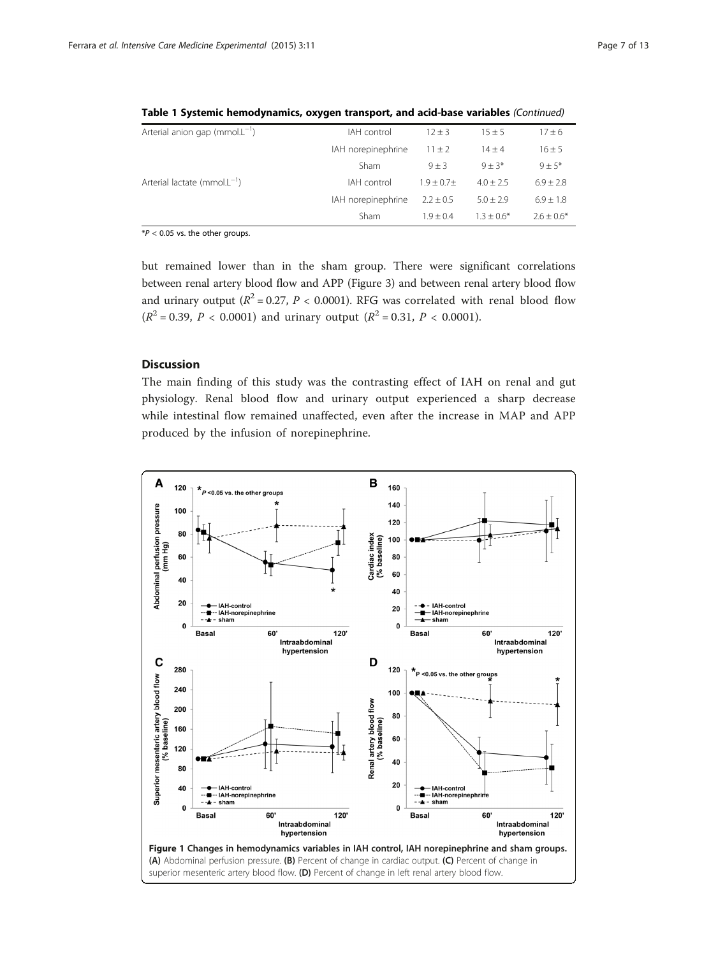| Arterial anion gap (mmol. $L^{-1}$ )     | IAH control        | $12 + 3$      | $15 \pm 5$    | $17 \pm 6$     |
|------------------------------------------|--------------------|---------------|---------------|----------------|
|                                          | IAH norepinephrine | $11 \pm 2$    | $14 \pm 4$    | $16 \pm 5$     |
|                                          | Sham               | $9 + 3$       | $9 + 3*$      | $9 + 5*$       |
| Arterial lactate (mmol.L <sup>-1</sup> ) | IAH control        | $1.9 + 0.7 +$ | $4.0 + 2.5$   | $6.9 \pm 2.8$  |
|                                          | IAH norepinephrine | $2.2 + 0.5$   | $5.0 \pm 2.9$ | $6.9 \pm 1.8$  |
|                                          | Sham               | $1.9 + 0.4$   | $1.3 + 0.6*$  | $2.6 \pm 0.6*$ |

<span id="page-6-0"></span>Table 1 Systemic hemodynamics, oxygen transport, and acid-base variables (Continued)

 $*P < 0.05$  vs. the other groups.

but remained lower than in the sham group. There were significant correlations between renal artery blood flow and APP (Figure 3) and between renal artery blood flow and urinary output ( $R^2 = 0.27$ ,  $P < 0.0001$ ). RFG was correlated with renal blood flow  $(R^2 = 0.39, P < 0.0001)$  and urinary output  $(R^2 = 0.31, P < 0.0001)$ .

# **Discussion**

The main finding of this study was the contrasting effect of IAH on renal and gut physiology. Renal blood flow and urinary output experienced a sharp decrease while intestinal flow remained unaffected, even after the increase in MAP and APP produced by the infusion of norepinephrine.

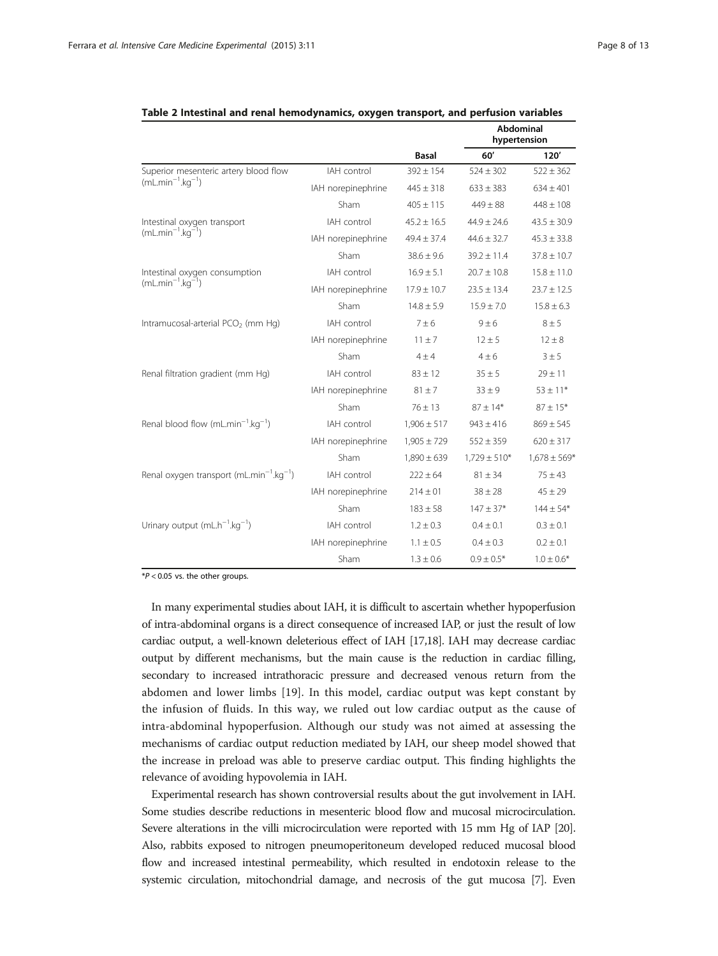|                                                                  |                    | Basal           | <b>Abdominal</b><br>hypertension |                  |
|------------------------------------------------------------------|--------------------|-----------------|----------------------------------|------------------|
|                                                                  |                    |                 | 60'                              | 120'             |
| Superior mesenteric artery blood flow<br>$(mL.min-1.kg-1)$       | IAH control        | $392 \pm 154$   | $524 + 302$                      | $522 \pm 362$    |
|                                                                  | IAH norepinephrine | $445 \pm 318$   | $633 \pm 383$                    | $634 \pm 401$    |
|                                                                  | Sham               | $405 \pm 115$   | $449 \pm 88$                     | $448 \pm 108$    |
| Intestinal oxygen transport<br>$(mLmin^{-1}.kq^{-1})$            | IAH control        | $45.2 \pm 16.5$ | $44.9 \pm 24.6$                  | $43.5 \pm 30.9$  |
|                                                                  | IAH norepinephrine | $49.4 \pm 37.4$ | $44.6 \pm 32.7$                  | $45.3 \pm 33.8$  |
|                                                                  | Sham               | $38.6 \pm 9.6$  | $39.2 \pm 11.4$                  | $37.8 \pm 10.7$  |
| Intestinal oxygen consumption<br>$(mLmin^{-1}.kq^{-1})$          | IAH control        | $16.9 \pm 5.1$  | $20.7 \pm 10.8$                  | $15.8 \pm 11.0$  |
|                                                                  | IAH norepinephrine | $17.9 \pm 10.7$ | $23.5 \pm 13.4$                  | $23.7 \pm 12.5$  |
|                                                                  | Sham               | $14.8 \pm 5.9$  | $15.9 \pm 7.0$                   | $15.8 \pm 6.3$   |
| Intramucosal-arterial PCO <sub>2</sub> (mm Hq)                   | IAH control        | $7 \pm 6$       | $9 \pm 6$                        | $8 \pm 5$        |
|                                                                  | IAH norepinephrine | $11 \pm 7$      | $12 \pm 5$                       | $12 \pm 8$       |
|                                                                  | Sham               | $4 \pm 4$       | $4 \pm 6$                        | $3 \pm 5$        |
| Renal filtration gradient (mm Hg)                                | IAH control        | $83 \pm 12$     | $35 \pm 5$                       | $29 \pm 11$      |
|                                                                  | IAH norepinephrine | $81 \pm 7$      | $33 + 9$                         | $53 \pm 11*$     |
|                                                                  | Sham               | $76 \pm 13$     | $87 \pm 14*$                     | $87 \pm 15*$     |
| Renal blood flow $(mL.min^{-1}.kq^{-1})$                         | IAH control        | $1,906 \pm 517$ | $943 \pm 416$                    | $869 \pm 545$    |
|                                                                  | IAH norepinephrine | $1,905 \pm 729$ | $552 \pm 359$                    | $620 \pm 317$    |
|                                                                  | Sham               | $1,890 \pm 639$ | $1,729 \pm 510*$                 | $1,678 \pm 569*$ |
| Renal oxygen transport (mL.min <sup>-1</sup> .kg <sup>-1</sup> ) | IAH control        | $222 \pm 64$    | $81 \pm 34$                      | $75 \pm 43$      |
|                                                                  | IAH norepinephrine | $214 \pm 01$    | $38 \pm 28$                      | $45 \pm 29$      |
|                                                                  | Sham               | $183 \pm 58$    | $147 \pm 37*$                    | $144 \pm 54*$    |
| Urinary output $(mL-1.kg-1)$                                     | IAH control        | $1.2 \pm 0.3$   | $0.4 \pm 0.1$                    | $0.3 \pm 0.1$    |
|                                                                  | IAH norepinephrine | $1.1 \pm 0.5$   | $0.4 \pm 0.3$                    | $0.2 \pm 0.1$    |
|                                                                  | Sham               | $1.3 \pm 0.6$   | $0.9 \pm 0.5*$                   | $1.0 \pm 0.6*$   |

<span id="page-7-0"></span>

 $*P < 0.05$  vs. the other groups.

In many experimental studies about IAH, it is difficult to ascertain whether hypoperfusion of intra-abdominal organs is a direct consequence of increased IAP, or just the result of low cardiac output, a well-known deleterious effect of IAH [\[17,18\]](#page-11-0). IAH may decrease cardiac output by different mechanisms, but the main cause is the reduction in cardiac filling, secondary to increased intrathoracic pressure and decreased venous return from the abdomen and lower limbs [[19\]](#page-11-0). In this model, cardiac output was kept constant by the infusion of fluids. In this way, we ruled out low cardiac output as the cause of intra-abdominal hypoperfusion. Although our study was not aimed at assessing the mechanisms of cardiac output reduction mediated by IAH, our sheep model showed that the increase in preload was able to preserve cardiac output. This finding highlights the relevance of avoiding hypovolemia in IAH.

Experimental research has shown controversial results about the gut involvement in IAH. Some studies describe reductions in mesenteric blood flow and mucosal microcirculation. Severe alterations in the villi microcirculation were reported with 15 mm Hg of IAP [\[20](#page-11-0)]. Also, rabbits exposed to nitrogen pneumoperitoneum developed reduced mucosal blood flow and increased intestinal permeability, which resulted in endotoxin release to the systemic circulation, mitochondrial damage, and necrosis of the gut mucosa [\[7\]](#page-11-0). Even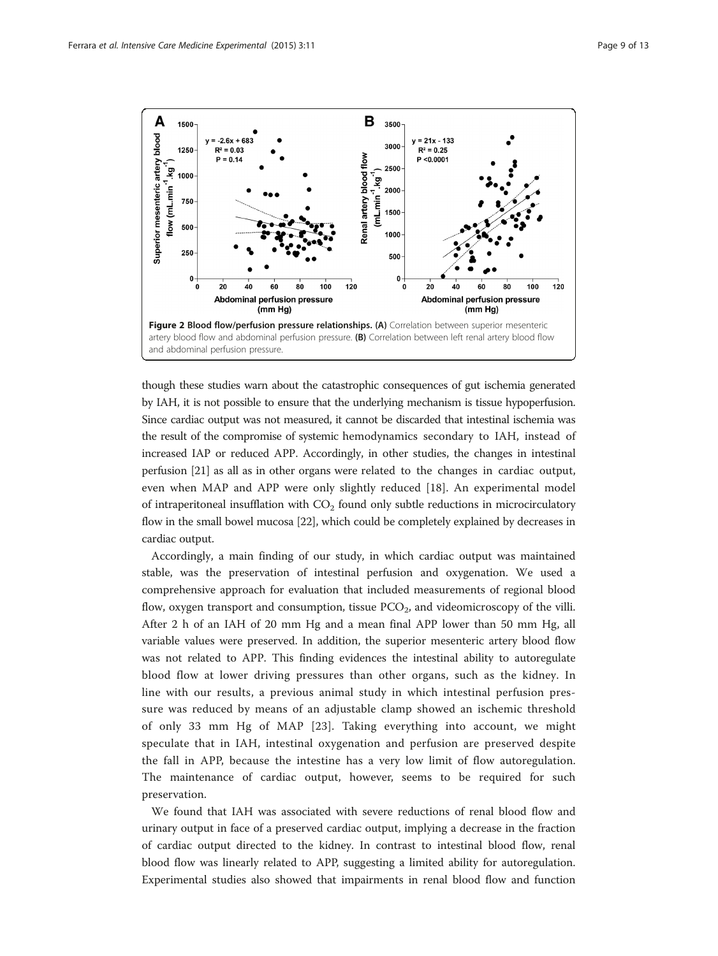<span id="page-8-0"></span>

though these studies warn about the catastrophic consequences of gut ischemia generated by IAH, it is not possible to ensure that the underlying mechanism is tissue hypoperfusion. Since cardiac output was not measured, it cannot be discarded that intestinal ischemia was the result of the compromise of systemic hemodynamics secondary to IAH, instead of increased IAP or reduced APP. Accordingly, in other studies, the changes in intestinal perfusion [\[21](#page-11-0)] as all as in other organs were related to the changes in cardiac output, even when MAP and APP were only slightly reduced [[18\]](#page-11-0). An experimental model of intraperitoneal insufflation with  $CO<sub>2</sub>$  found only subtle reductions in microcirculatory flow in the small bowel mucosa [\[22\]](#page-11-0), which could be completely explained by decreases in cardiac output.

Accordingly, a main finding of our study, in which cardiac output was maintained stable, was the preservation of intestinal perfusion and oxygenation. We used a comprehensive approach for evaluation that included measurements of regional blood flow, oxygen transport and consumption, tissue  $PCO<sub>2</sub>$ , and videomicroscopy of the villi. After 2 h of an IAH of 20 mm Hg and a mean final APP lower than 50 mm Hg, all variable values were preserved. In addition, the superior mesenteric artery blood flow was not related to APP. This finding evidences the intestinal ability to autoregulate blood flow at lower driving pressures than other organs, such as the kidney. In line with our results, a previous animal study in which intestinal perfusion pressure was reduced by means of an adjustable clamp showed an ischemic threshold of only 33 mm Hg of MAP [[23\]](#page-11-0). Taking everything into account, we might speculate that in IAH, intestinal oxygenation and perfusion are preserved despite the fall in APP, because the intestine has a very low limit of flow autoregulation. The maintenance of cardiac output, however, seems to be required for such preservation.

We found that IAH was associated with severe reductions of renal blood flow and urinary output in face of a preserved cardiac output, implying a decrease in the fraction of cardiac output directed to the kidney. In contrast to intestinal blood flow, renal blood flow was linearly related to APP, suggesting a limited ability for autoregulation. Experimental studies also showed that impairments in renal blood flow and function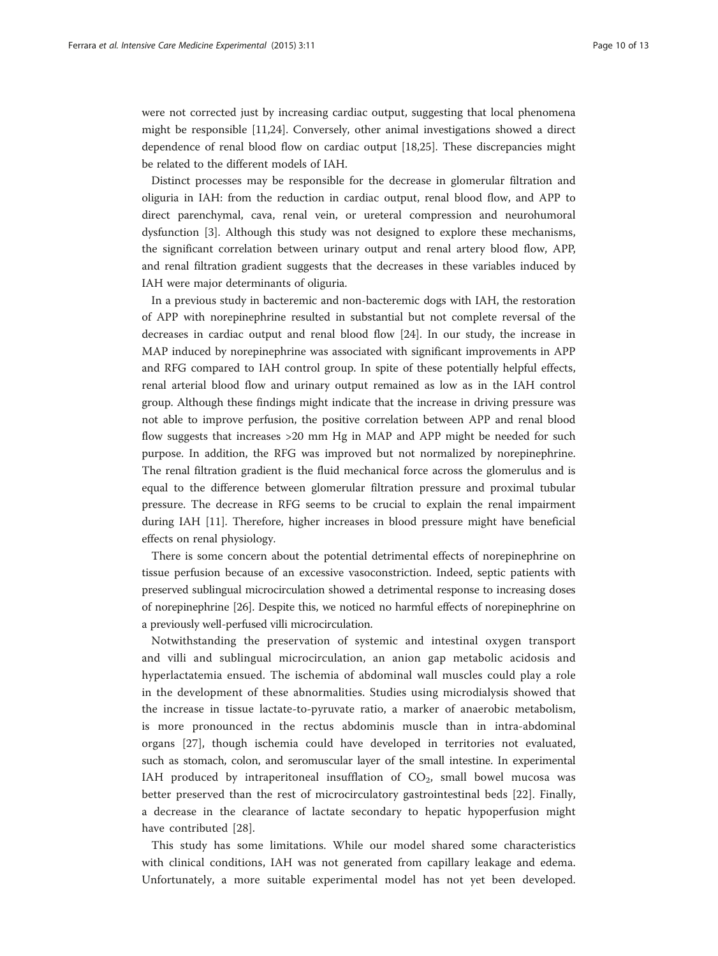were not corrected just by increasing cardiac output, suggesting that local phenomena might be responsible [\[11,24\]](#page-11-0). Conversely, other animal investigations showed a direct dependence of renal blood flow on cardiac output [\[18,25](#page-11-0)]. These discrepancies might be related to the different models of IAH.

Distinct processes may be responsible for the decrease in glomerular filtration and oliguria in IAH: from the reduction in cardiac output, renal blood flow, and APP to direct parenchymal, cava, renal vein, or ureteral compression and neurohumoral dysfunction [[3\]](#page-11-0). Although this study was not designed to explore these mechanisms, the significant correlation between urinary output and renal artery blood flow, APP, and renal filtration gradient suggests that the decreases in these variables induced by IAH were major determinants of oliguria.

In a previous study in bacteremic and non-bacteremic dogs with IAH, the restoration of APP with norepinephrine resulted in substantial but not complete reversal of the decreases in cardiac output and renal blood flow [\[24\]](#page-11-0). In our study, the increase in MAP induced by norepinephrine was associated with significant improvements in APP and RFG compared to IAH control group. In spite of these potentially helpful effects, renal arterial blood flow and urinary output remained as low as in the IAH control group. Although these findings might indicate that the increase in driving pressure was not able to improve perfusion, the positive correlation between APP and renal blood flow suggests that increases >20 mm Hg in MAP and APP might be needed for such purpose. In addition, the RFG was improved but not normalized by norepinephrine. The renal filtration gradient is the fluid mechanical force across the glomerulus and is equal to the difference between glomerular filtration pressure and proximal tubular pressure. The decrease in RFG seems to be crucial to explain the renal impairment during IAH [[11\]](#page-11-0). Therefore, higher increases in blood pressure might have beneficial effects on renal physiology.

There is some concern about the potential detrimental effects of norepinephrine on tissue perfusion because of an excessive vasoconstriction. Indeed, septic patients with preserved sublingual microcirculation showed a detrimental response to increasing doses of norepinephrine [\[26](#page-12-0)]. Despite this, we noticed no harmful effects of norepinephrine on a previously well-perfused villi microcirculation.

Notwithstanding the preservation of systemic and intestinal oxygen transport and villi and sublingual microcirculation, an anion gap metabolic acidosis and hyperlactatemia ensued. The ischemia of abdominal wall muscles could play a role in the development of these abnormalities. Studies using microdialysis showed that the increase in tissue lactate-to-pyruvate ratio, a marker of anaerobic metabolism, is more pronounced in the rectus abdominis muscle than in intra-abdominal organs [\[27](#page-12-0)], though ischemia could have developed in territories not evaluated, such as stomach, colon, and seromuscular layer of the small intestine. In experimental IAH produced by intraperitoneal insufflation of  $CO<sub>2</sub>$ , small bowel mucosa was better preserved than the rest of microcirculatory gastrointestinal beds [\[22](#page-11-0)]. Finally, a decrease in the clearance of lactate secondary to hepatic hypoperfusion might have contributed [\[28](#page-12-0)].

This study has some limitations. While our model shared some characteristics with clinical conditions, IAH was not generated from capillary leakage and edema. Unfortunately, a more suitable experimental model has not yet been developed.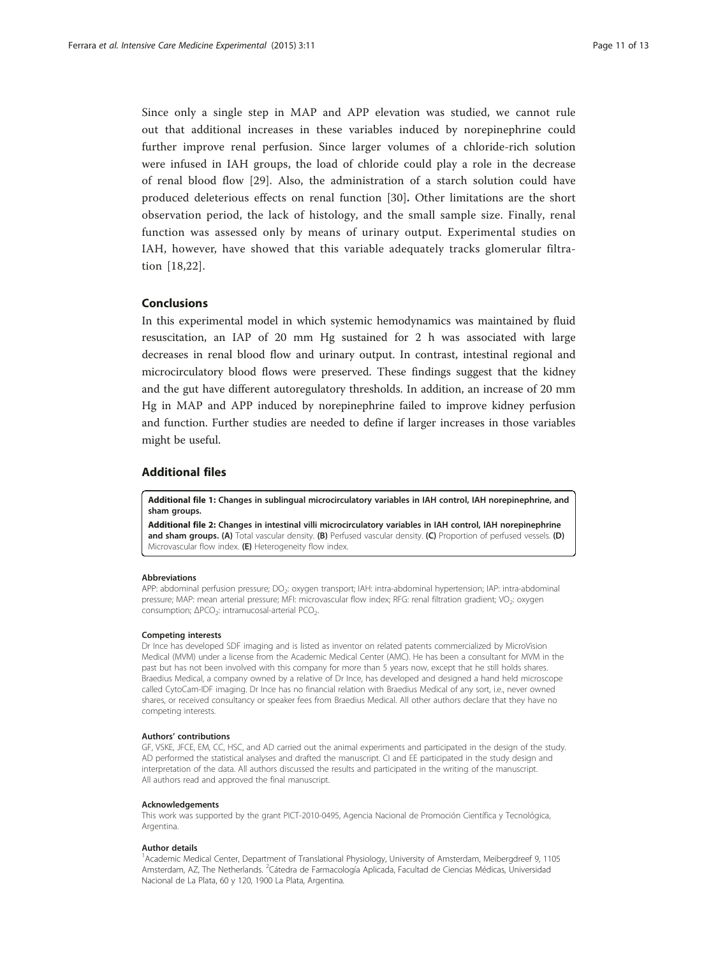<span id="page-10-0"></span>Since only a single step in MAP and APP elevation was studied, we cannot rule out that additional increases in these variables induced by norepinephrine could further improve renal perfusion. Since larger volumes of a chloride-rich solution were infused in IAH groups, the load of chloride could play a role in the decrease of renal blood flow [\[29](#page-12-0)]. Also, the administration of a starch solution could have produced deleterious effects on renal function [\[30](#page-12-0)]. Other limitations are the short observation period, the lack of histology, and the small sample size. Finally, renal function was assessed only by means of urinary output. Experimental studies on IAH, however, have showed that this variable adequately tracks glomerular filtration [[18,22\]](#page-11-0).

# Conclusions

In this experimental model in which systemic hemodynamics was maintained by fluid resuscitation, an IAP of 20 mm Hg sustained for 2 h was associated with large decreases in renal blood flow and urinary output. In contrast, intestinal regional and microcirculatory blood flows were preserved. These findings suggest that the kidney and the gut have different autoregulatory thresholds. In addition, an increase of 20 mm Hg in MAP and APP induced by norepinephrine failed to improve kidney perfusion and function. Further studies are needed to define if larger increases in those variables might be useful.

### Additional files

[Additional file 1:](http://www.icm-experimental.com/content/supplementary/s40635-015-0046-1-s1.pdf) Changes in sublingual microcirculatory variables in IAH control, IAH norepinephrine, and sham groups.

[Additional file 2:](http://www.icm-experimental.com/content/supplementary/s40635-015-0046-1-s2.pdf) Changes in intestinal villi microcirculatory variables in IAH control, IAH norepinephrine and sham groups. (A) Total vascular density. (B) Perfused vascular density. (C) Proportion of perfused vessels. (D) Microvascular flow index. (E) Heterogeneity flow index.

#### Abbreviations

APP: abdominal perfusion pressure; DO2: oxygen transport; IAH: intra-abdominal hypertension; IAP: intra-abdominal pressure; MAP: mean arterial pressure; MFI: microvascular flow index; RFG: renal filtration gradient; VO<sub>2</sub>: oxygen consumption; ΔPCO<sub>2</sub>: intramucosal-arterial PCO<sub>2</sub>.

#### Competing interests

Dr Ince has developed SDF imaging and is listed as inventor on related patents commercialized by MicroVision Medical (MVM) under a license from the Academic Medical Center (AMC). He has been a consultant for MVM in the past but has not been involved with this company for more than 5 years now, except that he still holds shares. Braedius Medical, a company owned by a relative of Dr Ince, has developed and designed a hand held microscope called CytoCam-IDF imaging. Dr Ince has no financial relation with Braedius Medical of any sort, i.e., never owned shares, or received consultancy or speaker fees from Braedius Medical. All other authors declare that they have no competing interests.

#### Authors' contributions

GF, VSKE, JFCE, EM, CC, HSC, and AD carried out the animal experiments and participated in the design of the study. AD performed the statistical analyses and drafted the manuscript. CI and EE participated in the study design and interpretation of the data. All authors discussed the results and participated in the writing of the manuscript. All authors read and approved the final manuscript.

#### Acknowledgements

This work was supported by the grant PICT-2010-0495, Agencia Nacional de Promoción Científica y Tecnológica, Argentina.

#### Author details

1 Academic Medical Center, Department of Translational Physiology, University of Amsterdam, Meibergdreef 9, 1105 Amsterdam, AZ, The Netherlands. <sup>2</sup>Cátedra de Farmacología Aplicada, Facultad de Ciencias Médicas, Universidad Nacional de La Plata, 60 y 120, 1900 La Plata, Argentina.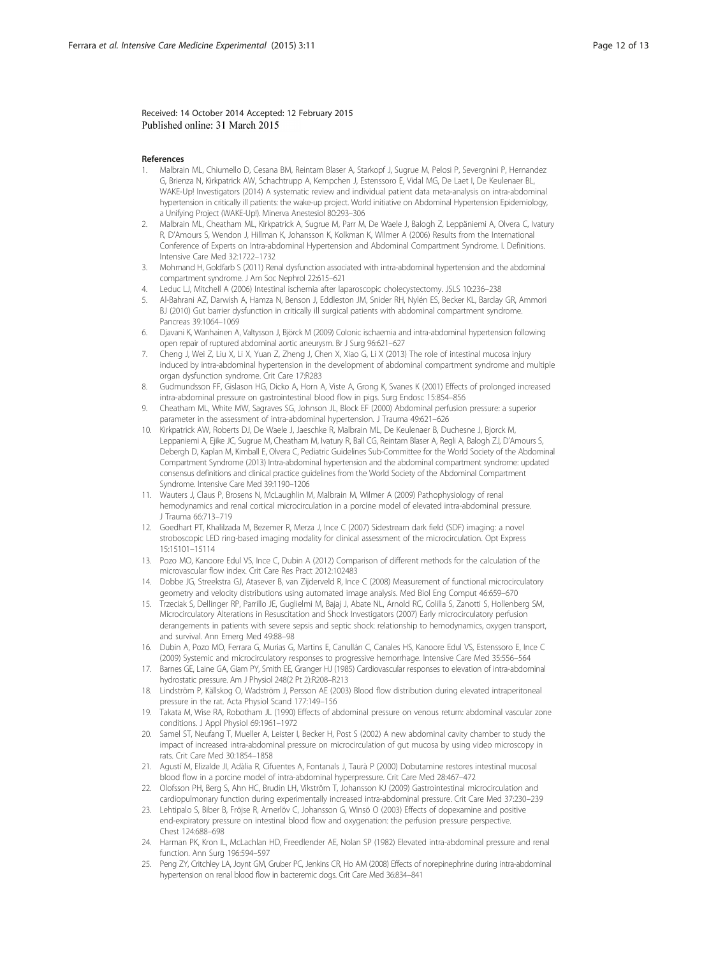<span id="page-11-0"></span>Received: 14 October 2014 Accepted: 12 February 2015 Published online: 31 March 2015

#### References

- 1. Malbrain ML, Chiumello D, Cesana BM, Reintam Blaser A, Starkopf J, Sugrue M, Pelosi P, Severgnini P, Hernandez G, Brienza N, Kirkpatrick AW, Schachtrupp A, Kempchen J, Estenssoro E, Vidal MG, De Laet I, De Keulenaer BL, WAKE-Up! Investigators (2014) A systematic review and individual patient data meta-analysis on intra-abdominal hypertension in critically ill patients: the wake-up project. World initiative on Abdominal Hypertension Epidemiology, a Unifying Project (WAKE-Up!). Minerva Anestesiol 80:293–306
- 2. Malbrain ML, Cheatham ML, Kirkpatrick A, Sugrue M, Parr M, De Waele J, Balogh Z, Leppäniemi A, Olvera C, Ivatury R, D'Amours S, Wendon J, Hillman K, Johansson K, Kolkman K, Wilmer A (2006) Results from the International Conference of Experts on Intra-abdominal Hypertension and Abdominal Compartment Syndrome. I. Definitions. Intensive Care Med 32:1722–1732
- 3. Mohmand H, Goldfarb S (2011) Renal dysfunction associated with intra-abdominal hypertension and the abdominal compartment syndrome. J Am Soc Nephrol 22:615–621
- 4. Leduc LJ, Mitchell A (2006) Intestinal ischemia after laparoscopic cholecystectomy. JSLS 10:236–238
- 5. Al-Bahrani AZ, Darwish A, Hamza N, Benson J, Eddleston JM, Snider RH, Nylén ES, Becker KL, Barclay GR, Ammori BJ (2010) Gut barrier dysfunction in critically ill surgical patients with abdominal compartment syndrome. Pancreas 39:1064–1069
- 6. Djavani K, Wanhainen A, Valtysson J, Björck M (2009) Colonic ischaemia and intra-abdominal hypertension following open repair of ruptured abdominal aortic aneurysm. Br J Surg 96:621–627
- 7. Cheng J, Wei Z, Liu X, Li X, Yuan Z, Zheng J, Chen X, Xiao G, Li X (2013) The role of intestinal mucosa injury induced by intra-abdominal hypertension in the development of abdominal compartment syndrome and multiple organ dysfunction syndrome. Crit Care 17:R283
- 8. Gudmundsson FF, Gislason HG, Dicko A, Horn A, Viste A, Grong K, Svanes K (2001) Effects of prolonged increased intra-abdominal pressure on gastrointestinal blood flow in pigs. Surg Endosc 15:854–856
- 9. Cheatham ML, White MW, Sagraves SG, Johnson JL, Block EF (2000) Abdominal perfusion pressure: a superior parameter in the assessment of intra-abdominal hypertension. J Trauma 49:621–626
- 10. Kirkpatrick AW, Roberts DJ, De Waele J, Jaeschke R, Malbrain ML, De Keulenaer B, Duchesne J, Bjorck M, Leppaniemi A, Ejike JC, Sugrue M, Cheatham M, Ivatury R, Ball CG, Reintam Blaser A, Regli A, Balogh ZJ, D'Amours S, Debergh D, Kaplan M, Kimball E, Olvera C, Pediatric Guidelines Sub-Committee for the World Society of the Abdominal Compartment Syndrome (2013) Intra-abdominal hypertension and the abdominal compartment syndrome: updated consensus definitions and clinical practice guidelines from the World Society of the Abdominal Compartment Syndrome. Intensive Care Med 39:1190–1206
- 11. Wauters J, Claus P, Brosens N, McLaughlin M, Malbrain M, Wilmer A (2009) Pathophysiology of renal hemodynamics and renal cortical microcirculation in a porcine model of elevated intra-abdominal pressure. J Trauma 66:713–719
- 12. Goedhart PT, Khalilzada M, Bezemer R, Merza J, Ince C (2007) Sidestream dark field (SDF) imaging: a novel stroboscopic LED ring-based imaging modality for clinical assessment of the microcirculation. Opt Express 15:15101–15114
- 13. Pozo MO, Kanoore Edul VS, Ince C, Dubin A (2012) Comparison of different methods for the calculation of the microvascular flow index. Crit Care Res Pract 2012:102483
- 14. Dobbe JG, Streekstra GJ, Atasever B, van Zijderveld R, Ince C (2008) Measurement of functional microcirculatory geometry and velocity distributions using automated image analysis. Med Biol Eng Comput 46:659–670
- 15. Trzeciak S, Dellinger RP, Parrillo JE, Guglielmi M, Bajaj J, Abate NL, Arnold RC, Colilla S, Zanotti S, Hollenberg SM, Microcirculatory Alterations in Resuscitation and Shock Investigators (2007) Early microcirculatory perfusion derangements in patients with severe sepsis and septic shock: relationship to hemodynamics, oxygen transport, and survival. Ann Emerg Med 49:88–98
- 16. Dubin A, Pozo MO, Ferrara G, Murias G, Martins E, Canullán C, Canales HS, Kanoore Edul VS, Estenssoro E, Ince C (2009) Systemic and microcirculatory responses to progressive hemorrhage. Intensive Care Med 35:556–564
- 17. Barnes GE, Laine GA, Giam PY, Smith EE, Granger HJ (1985) Cardiovascular responses to elevation of intra-abdominal hydrostatic pressure. Am J Physiol 248(2 Pt 2):R208–R213
- 18. Lindström P, Källskog O, Wadström J, Persson AE (2003) Blood flow distribution during elevated intraperitoneal pressure in the rat. Acta Physiol Scand 177:149–156
- 19. Takata M, Wise RA, Robotham JL (1990) Effects of abdominal pressure on venous return: abdominal vascular zone conditions. J Appl Physiol 69:1961–1972
- 20. Samel ST, Neufang T, Mueller A, Leister I, Becker H, Post S (2002) A new abdominal cavity chamber to study the impact of increased intra-abdominal pressure on microcirculation of gut mucosa by using video microscopy in rats. Crit Care Med 30:1854–1858
- 21. Agustí M, Elizalde JI, Adàlia R, Cifuentes A, Fontanals J, Taurà P (2000) Dobutamine restores intestinal mucosal blood flow in a porcine model of intra-abdominal hyperpressure. Crit Care Med 28:467–472
- 22. Olofsson PH, Berg S, Ahn HC, Brudin LH, Vikström T, Johansson KJ (2009) Gastrointestinal microcirculation and cardiopulmonary function during experimentally increased intra-abdominal pressure. Crit Care Med 37:230–239
- 23. Lehtipalo S, Biber B, Fröjse R, Arnerlöv C, Johansson G, Winsö O (2003) Effects of dopexamine and positive end-expiratory pressure on intestinal blood flow and oxygenation: the perfusion pressure perspective. Chest 124:688–698
- 24. Harman PK, Kron IL, McLachlan HD, Freedlender AE, Nolan SP (1982) Elevated intra-abdominal pressure and renal function. Ann Surg 196:594–597
- 25. Peng ZY, Critchley LA, Joynt GM, Gruber PC, Jenkins CR, Ho AM (2008) Effects of norepinephrine during intra-abdominal hypertension on renal blood flow in bacteremic dogs. Crit Care Med 36:834–841